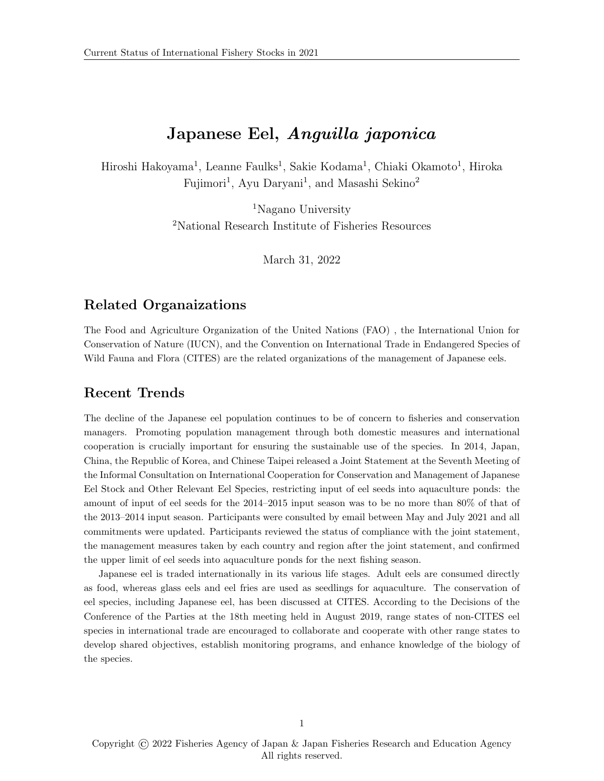# Japanese Eel, Anguilla japonica

Hiroshi Hakoyama<sup>1</sup>, Leanne Faulks<sup>1</sup>, Sakie Kodama<sup>1</sup>, Chiaki Okamoto<sup>1</sup>, Hiroka Fujimori<sup>1</sup>, Ayu Daryani<sup>1</sup>, and Masashi Sekino<sup>2</sup>

> <sup>1</sup>Nagano University <sup>2</sup>National Research Institute of Fisheries Resources

> > March 31, 2022

## Related Organaizations

The Food and Agriculture Organization of the United Nations (FAO) , the International Union for Conservation of Nature (IUCN), and the Convention on International Trade in Endangered Species of Wild Fauna and Flora (CITES) are the related organizations of the management of Japanese eels.

## Recent Trends

The decline of the Japanese eel population continues to be of concern to fisheries and conservation managers. Promoting population management through both domestic measures and international cooperation is crucially important for ensuring the sustainable use of the species. In 2014, Japan, China, the Republic of Korea, and Chinese Taipei released a Joint Statement at the Seventh Meeting of the Informal Consultation on International Cooperation for Conservation and Management of Japanese Eel Stock and Other Relevant Eel Species, restricting input of eel seeds into aquaculture ponds: the amount of input of eel seeds for the 2014–2015 input season was to be no more than 80% of that of the 2013–2014 input season. Participants were consulted by email between May and July 2021 and all commitments were updated. Participants reviewed the status of compliance with the joint statement, the management measures taken by each country and region after the joint statement, and confirmed the upper limit of eel seeds into aquaculture ponds for the next fishing season.

Japanese eel is traded internationally in its various life stages. Adult eels are consumed directly as food, whereas glass eels and eel fries are used as seedlings for aquaculture. The conservation of eel species, including Japanese eel, has been discussed at CITES. According to the Decisions of the Conference of the Parties at the 18th meeting held in August 2019, range states of non-CITES eel species in international trade are encouraged to collaborate and cooperate with other range states to develop shared objectives, establish monitoring programs, and enhance knowledge of the biology of the species.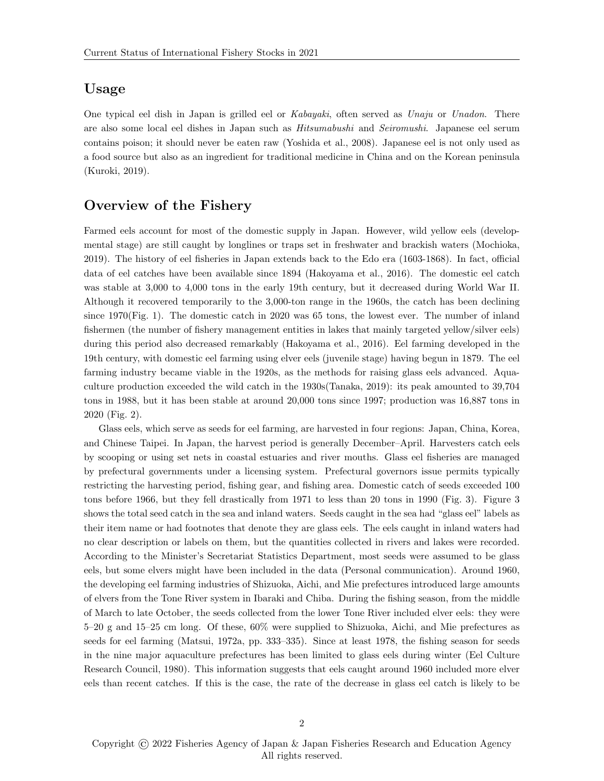## Usage

One typical eel dish in Japan is grilled eel or Kabayaki, often served as Unaju or Unadon. There are also some local eel dishes in Japan such as Hitsumabushi and Seiromushi. Japanese eel serum contains poison; it should never be eaten raw [\(Yoshida et al., 2008\)](#page-23-0). Japanese eel is not only used as a food source but also as an ingredient for traditional medicine in China and on the Korean peninsula [\(Kuroki, 2019\)](#page-20-0).

## Overview of the Fishery

Farmed eels account for most of the domestic supply in Japan. However, wild yellow eels (developmental stage) are still caught by longlines or traps set in freshwater and brackish waters [\(Mochioka,](#page-21-0) [2019\)](#page-21-0). The history of eel fisheries in Japan extends back to the Edo era (1603-1868). In fact, official data of eel catches have been available since 1894 [\(Hakoyama et al., 2016\)](#page-19-0). The domestic eel catch was stable at 3,000 to 4,000 tons in the early 19th century, but it decreased during World War II. Although it recovered temporarily to the 3,000-ton range in the 1960s, the catch has been declining since 1970(Fig. [1\)](#page-9-0). The domestic catch in 2020 was 65 tons, the lowest ever. The number of inland fishermen (the number of fishery management entities in lakes that mainly targeted yellow/silver eels) during this period also decreased remarkably [\(Hakoyama et al., 2016\)](#page-19-0). Eel farming developed in the 19th century, with domestic eel farming using elver eels (juvenile stage) having begun in 1879. The eel farming industry became viable in the 1920s, as the methods for raising glass eels advanced. Aquaculture production exceeded the wild catch in the 1930s[\(Tanaka, 2019\)](#page-22-0): its peak amounted to 39,704 tons in 1988, but it has been stable at around 20,000 tons since 1997; production was 16,887 tons in 2020 (Fig. [2\)](#page-10-0).

Glass eels, which serve as seeds for eel farming, are harvested in four regions: Japan, China, Korea, and Chinese Taipei. In Japan, the harvest period is generally December–April. Harvesters catch eels by scooping or using set nets in coastal estuaries and river mouths. Glass eel fisheries are managed by prefectural governments under a licensing system. Prefectural governors issue permits typically restricting the harvesting period, fishing gear, and fishing area. Domestic catch of seeds exceeded 100 tons before 1966, but they fell drastically from 1971 to less than 20 tons in 1990 (Fig. [3\)](#page-11-0). Figure 3 shows the total seed catch in the sea and inland waters. Seeds caught in the sea had "glass eel" labels as their item name or had footnotes that denote they are glass eels. The eels caught in inland waters had no clear description or labels on them, but the quantities collected in rivers and lakes were recorded. According to the Minister's Secretariat Statistics Department, most seeds were assumed to be glass eels, but some elvers might have been included in the data (Personal communication). Around 1960, the developing eel farming industries of Shizuoka, Aichi, and Mie prefectures introduced large amounts of elvers from the Tone River system in Ibaraki and Chiba. During the fishing season, from the middle of March to late October, the seeds collected from the lower Tone River included elver eels: they were 5–20 g and 15–25 cm long. Of these, 60% were supplied to Shizuoka, Aichi, and Mie prefectures as seeds for eel farming [\(Matsui, 1972a,](#page-21-1) pp. 333–335). Since at least 1978, the fishing season for seeds in the nine major aquaculture prefectures has been limited to glass eels during winter [\(Eel Culture](#page-18-0) [Research Council, 1980\)](#page-18-0). This information suggests that eels caught around 1960 included more elver eels than recent catches. If this is the case, the rate of the decrease in glass eel catch is likely to be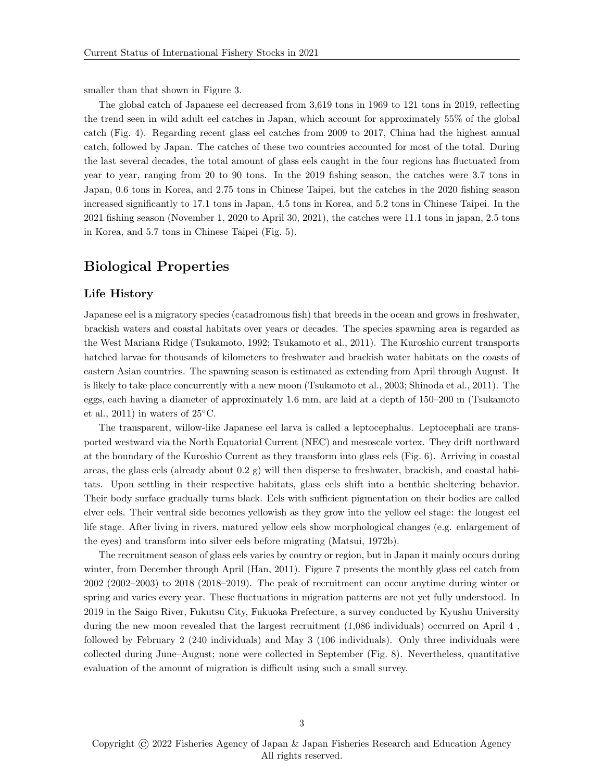smaller than that shown in Figure [3.](#page-11-0)

The global catch of Japanese eel decreased from 3,619 tons in 1969 to 121 tons in 2019, reflecting the trend seen in wild adult eel catches in Japan, which account for approximately 55% of the global catch (Fig. [4\)](#page-12-0). Regarding recent glass eel catches from 2009 to 2017, China had the highest annual catch, followed by Japan. The catches of these two countries accounted for most of the total. During the last several decades, the total amount of glass eels caught in the four regions has fluctuated from year to year, ranging from 20 to 90 tons. In the 2019 fishing season, the catches were 3.7 tons in Japan, 0.6 tons in Korea, and 2.75 tons in Chinese Taipei, but the catches in the 2020 fishing season increased significantly to 17.1 tons in Japan, 4.5 tons in Korea, and 5.2 tons in Chinese Taipei. In the 2021 fishing season (November 1, 2020 to April 30, 2021), the catches were 11.1 tons in japan, 2.5 tons in Korea, and 5.7 tons in Chinese Taipei (Fig. [5\)](#page-13-0).

## Biological Properties

#### Life History

Japanese eel is a migratory species (catadromous fish) that breeds in the ocean and grows in freshwater, brackish waters and coastal habitats over years or decades. The species spawning area is regarded as the West Mariana Ridge [\(Tsukamoto, 1992;](#page-22-1) [Tsukamoto et al., 2011\)](#page-22-2). The Kuroshio current transports hatched larvae for thousands of kilometers to freshwater and brackish water habitats on the coasts of eastern Asian countries. The spawning season is estimated as extending from April through August. It is likely to take place concurrently with a new moon [\(Tsukamoto et al., 2003;](#page-22-3) [Shinoda et al., 2011\)](#page-21-2). The eggs, each having a diameter of approximately 1.6 mm, are laid at a depth of 150–200 m [\(Tsukamoto](#page-22-2) [et al., 2011\)](#page-22-2) in waters of  $25^{\circ}$ C.

The transparent, willow-like Japanese eel larva is called a leptocephalus. Leptocephali are transported westward via the North Equatorial Current (NEC) and mesoscale vortex. They drift northward at the boundary of the Kuroshio Current as they transform into glass eels (Fig. [6\)](#page-14-0). Arriving in coastal areas, the glass eels (already about 0.2 g) will then disperse to freshwater, brackish, and coastal habitats. Upon settling in their respective habitats, glass eels shift into a benthic sheltering behavior. Their body surface gradually turns black. Eels with sufficient pigmentation on their bodies are called elver eels. Their ventral side becomes yellowish as they grow into the yellow eel stage: the longest eel life stage. After living in rivers, matured yellow eels show morphological changes (e.g. enlargement of the eyes) and transform into silver eels before migrating [\(Matsui, 1972b\)](#page-21-3).

The recruitment season of glass eels varies by country or region, but in Japan it mainly occurs during winter, from December through April [\(Han, 2011\)](#page-19-1). Figure [7](#page-15-0) presents the monthly glass eel catch from 2002 (2002–2003) to 2018 (2018–2019). The peak of recruitment can occur anytime during winter or spring and varies every year. These fluctuations in migration patterns are not yet fully understood. In 2019 in the Saigo River, Fukutsu City, Fukuoka Prefecture, a survey conducted by Kyushu University during the new moon revealed that the largest recruitment (1,086 individuals) occurred on April 4 , followed by February 2 (240 individuals) and May 3 (106 individuals). Only three individuals were collected during June–August; none were collected in September (Fig. [8\)](#page-16-0). Nevertheless, quantitative evaluation of the amount of migration is difficult using such a small survey.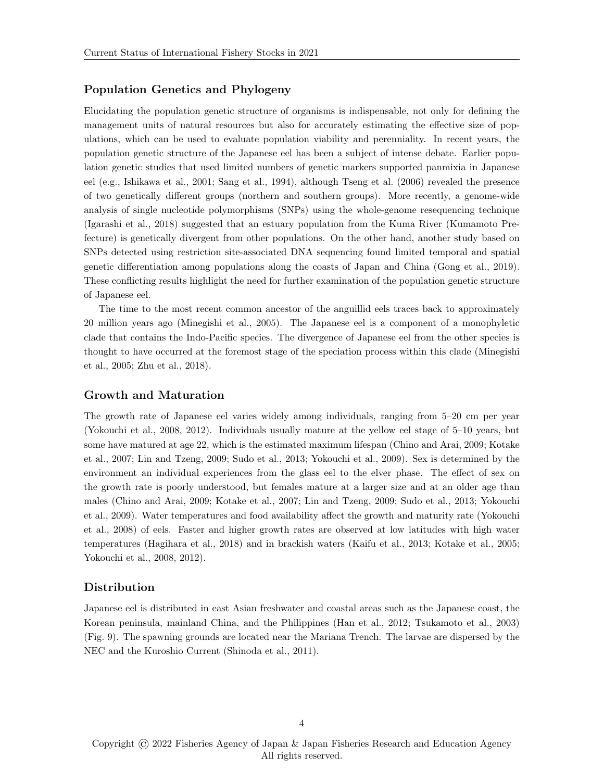#### Population Genetics and Phylogeny

Elucidating the population genetic structure of organisms is indispensable, not only for defining the management units of natural resources but also for accurately estimating the effective size of populations, which can be used to evaluate population viability and perenniality. In recent years, the population genetic structure of the Japanese eel has been a subject of intense debate. Earlier population genetic studies that used limited numbers of genetic markers supported panmixia in Japanese eel (e.g., [Ishikawa et al., 2001;](#page-19-2) [Sang et al., 1994\)](#page-21-4), although [Tseng et al.](#page-22-4) [\(2006\)](#page-22-4) revealed the presence of two genetically different groups (northern and southern groups). More recently, a genome-wide analysis of single nucleotide polymorphisms (SNPs) using the whole-genome resequencing technique [\(Igarashi et al., 2018\)](#page-19-3) suggested that an estuary population from the Kuma River (Kumamoto Prefecture) is genetically divergent from other populations. On the other hand, another study based on SNPs detected using restriction site-associated DNA sequencing found limited temporal and spatial genetic differentiation among populations along the coasts of Japan and China [\(Gong et al., 2019\)](#page-19-4). These conflicting results highlight the need for further examination of the population genetic structure of Japanese eel.

The time to the most recent common ancestor of the anguillid eels traces back to approximately 20 million years ago [\(Minegishi et al., 2005\)](#page-21-5). The Japanese eel is a component of a monophyletic clade that contains the Indo-Pacific species. The divergence of Japanese eel from the other species is thought to have occurred at the foremost stage of the speciation process within this clade [\(Minegishi](#page-21-5) [et al., 2005;](#page-21-5) [Zhu et al., 2018\)](#page-23-1).

#### Growth and Maturation

The growth rate of Japanese eel varies widely among individuals, ranging from 5–20 cm per year [\(Yokouchi et al., 2008,](#page-22-5) [2012\)](#page-22-6). Individuals usually mature at the yellow eel stage of 5–10 years, but some have matured at age 22, which is the estimated maximum lifespan [\(Chino and Arai, 2009;](#page-18-1) [Kotake](#page-20-1) [et al., 2007;](#page-20-1) [Lin and Tzeng, 2009;](#page-20-2) [Sudo et al., 2013;](#page-21-6) [Yokouchi et al., 2009\)](#page-22-7). Sex is determined by the environment an individual experiences from the glass eel to the elver phase. The effect of sex on the growth rate is poorly understood, but females mature at a larger size and at an older age than males [\(Chino and Arai, 2009;](#page-18-1) [Kotake et al., 2007;](#page-20-1) [Lin and Tzeng, 2009;](#page-20-2) [Sudo et al., 2013;](#page-21-6) [Yokouchi](#page-22-7) [et al., 2009\)](#page-22-7). Water temperatures and food availability affect the growth and maturity rate [\(Yokouchi](#page-22-5) [et al., 2008\)](#page-22-5) of eels. Faster and higher growth rates are observed at low latitudes with high water temperatures [\(Hagihara et al., 2018\)](#page-19-5) and in brackish waters [\(Kaifu et al., 2013;](#page-20-3) [Kotake et al., 2005;](#page-20-4) [Yokouchi et al., 2008,](#page-22-5) [2012\)](#page-22-6).

#### Distribution

Japanese eel is distributed in east Asian freshwater and coastal areas such as the Japanese coast, the Korean peninsula, mainland China, and the Philippines [\(Han et al., 2012;](#page-19-6) [Tsukamoto et al., 2003\)](#page-22-3) (Fig. [9\)](#page-17-0). The spawning grounds are located near the Mariana Trench. The larvae are dispersed by the NEC and the Kuroshio Current [\(Shinoda et al., 2011\)](#page-21-2).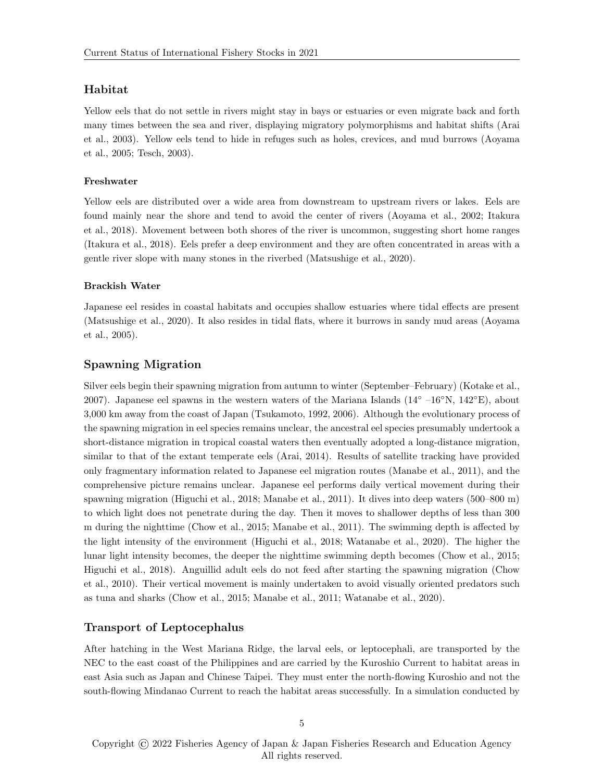#### Habitat

Yellow eels that do not settle in rivers might stay in bays or estuaries or even migrate back and forth many times between the sea and river, displaying migratory polymorphisms and habitat shifts [\(Arai](#page-18-2) [et al., 2003\)](#page-18-2). Yellow eels tend to hide in refuges such as holes, crevices, and mud burrows [\(Aoyama](#page-18-3) [et al., 2005;](#page-18-3) [Tesch, 2003\)](#page-22-8).

#### Freshwater

Yellow eels are distributed over a wide area from downstream to upstream rivers or lakes. Eels are found mainly near the shore and tend to avoid the center of rivers [\(Aoyama et al., 2002;](#page-18-4) [Itakura](#page-20-5) [et al., 2018\)](#page-20-5). Movement between both shores of the river is uncommon, suggesting short home ranges [\(Itakura et al., 2018\)](#page-20-5). Eels prefer a deep environment and they are often concentrated in areas with a gentle river slope with many stones in the riverbed [\(Matsushige et al., 2020\)](#page-21-7).

#### Brackish Water

Japanese eel resides in coastal habitats and occupies shallow estuaries where tidal effects are present [\(Matsushige et al., 2020\)](#page-21-7). It also resides in tidal flats, where it burrows in sandy mud areas [\(Aoyama](#page-18-3) [et al., 2005\)](#page-18-3).

#### Spawning Migration

Silver eels begin their spawning migration from autumn to winter (September–February) [\(Kotake et al.,](#page-20-1) [2007\)](#page-20-1). Japanese eel spawns in the western waters of the Mariana Islands (14◦ –16◦N, 142◦E), about 3,000 km away from the coast of Japan [\(Tsukamoto, 1992,](#page-22-1) [2006\)](#page-22-9). Although the evolutionary process of the spawning migration in eel species remains unclear, the ancestral eel species presumably undertook a short-distance migration in tropical coastal waters then eventually adopted a long-distance migration, similar to that of the extant temperate eels [\(Arai, 2014\)](#page-18-5). Results of satellite tracking have provided only fragmentary information related to Japanese eel migration routes [\(Manabe et al., 2011\)](#page-21-8), and the comprehensive picture remains unclear. Japanese eel performs daily vertical movement during their spawning migration [\(Higuchi et al., 2018;](#page-19-7) [Manabe et al., 2011\)](#page-21-8). It dives into deep waters (500–800 m) to which light does not penetrate during the day. Then it moves to shallower depths of less than 300 m during the nighttime [\(Chow et al., 2015;](#page-18-6) [Manabe et al., 2011\)](#page-21-8). The swimming depth is affected by the light intensity of the environment [\(Higuchi et al., 2018;](#page-19-7) [Watanabe et al., 2020\)](#page-22-10). The higher the lunar light intensity becomes, the deeper the nighttime swimming depth becomes [\(Chow et al., 2015;](#page-18-6) [Higuchi et al., 2018\)](#page-19-7). Anguillid adult eels do not feed after starting the spawning migration [\(Chow](#page-18-7) [et al., 2010\)](#page-18-7). Their vertical movement is mainly undertaken to avoid visually oriented predators such as tuna and sharks [\(Chow et al., 2015;](#page-18-6) [Manabe et al., 2011;](#page-21-8) [Watanabe et al., 2020\)](#page-22-10).

#### Transport of Leptocephalus

After hatching in the West Mariana Ridge, the larval eels, or leptocephali, are transported by the NEC to the east coast of the Philippines and are carried by the Kuroshio Current to habitat areas in east Asia such as Japan and Chinese Taipei. They must enter the north-flowing Kuroshio and not the south-flowing Mindanao Current to reach the habitat areas successfully. In a simulation conducted by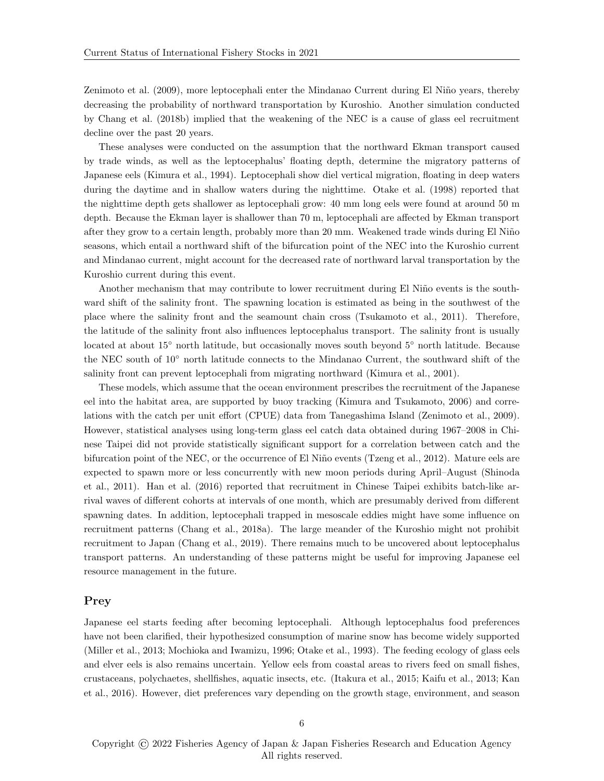[Zenimoto et al.](#page-23-2) [\(2009\)](#page-23-2), more leptocephali enter the Mindanao Current during El Niño years, thereby decreasing the probability of northward transportation by Kuroshio. Another simulation conducted by [Chang et al.](#page-18-8) [\(2018b\)](#page-18-8) implied that the weakening of the NEC is a cause of glass eel recruitment decline over the past 20 years.

These analyses were conducted on the assumption that the northward Ekman transport caused by trade winds, as well as the leptocephalus' floating depth, determine the migratory patterns of Japanese eels [\(Kimura et al., 1994\)](#page-20-6). Leptocephali show diel vertical migration, floating in deep waters during the daytime and in shallow waters during the nighttime. [Otake et al.](#page-21-9) [\(1998\)](#page-21-9) reported that the nighttime depth gets shallower as leptocephali grow: 40 mm long eels were found at around 50 m depth. Because the Ekman layer is shallower than 70 m, leptocephali are affected by Ekman transport after they grow to a certain length, probably more than 20 mm. Weakened trade winds during El Niño seasons, which entail a northward shift of the bifurcation point of the NEC into the Kuroshio current and Mindanao current, might account for the decreased rate of northward larval transportation by the Kuroshio current during this event.

Another mechanism that may contribute to lower recruitment during El Niño events is the southward shift of the salinity front. The spawning location is estimated as being in the southwest of the place where the salinity front and the seamount chain cross [\(Tsukamoto et al., 2011\)](#page-22-2). Therefore, the latitude of the salinity front also influences leptocephalus transport. The salinity front is usually located at about 15◦ north latitude, but occasionally moves south beyond 5◦ north latitude. Because the NEC south of 10◦ north latitude connects to the Mindanao Current, the southward shift of the salinity front can prevent leptocephali from migrating northward [\(Kimura et al., 2001\)](#page-20-7).

These models, which assume that the ocean environment prescribes the recruitment of the Japanese eel into the habitat area, are supported by buoy tracking [\(Kimura and Tsukamoto, 2006\)](#page-20-8) and correlations with the catch per unit effort (CPUE) data from Tanegashima Island [\(Zenimoto et al., 2009\)](#page-23-2). However, statistical analyses using long-term glass eel catch data obtained during 1967–2008 in Chinese Taipei did not provide statistically significant support for a correlation between catch and the bifurcation point of the NEC, or the occurrence of El Niño events [\(Tzeng et al., 2012\)](#page-22-11). Mature eels are expected to spawn more or less concurrently with new moon periods during April–August [\(Shinoda](#page-21-2) [et al., 2011\)](#page-21-2). [Han et al.](#page-19-8) [\(2016\)](#page-19-8) reported that recruitment in Chinese Taipei exhibits batch-like arrival waves of different cohorts at intervals of one month, which are presumably derived from different spawning dates. In addition, leptocephali trapped in mesoscale eddies might have some influence on recruitment patterns [\(Chang et al., 2018a\)](#page-18-9). The large meander of the Kuroshio might not prohibit recruitment to Japan [\(Chang et al., 2019\)](#page-18-10). There remains much to be uncovered about leptocephalus transport patterns. An understanding of these patterns might be useful for improving Japanese eel resource management in the future.

#### Prey

Japanese eel starts feeding after becoming leptocephali. Although leptocephalus food preferences have not been clarified, their hypothesized consumption of marine snow has become widely supported [\(Miller et al., 2013;](#page-21-10) [Mochioka and Iwamizu, 1996;](#page-21-11) [Otake et al., 1993\)](#page-21-12). The feeding ecology of glass eels and elver eels is also remains uncertain. Yellow eels from coastal areas to rivers feed on small fishes, crustaceans, polychaetes, shellfishes, aquatic insects, etc. [\(Itakura et al., 2015;](#page-20-9) [Kaifu et al., 2013;](#page-20-3) [Kan](#page-20-10) [et al., 2016\)](#page-20-10). However, diet preferences vary depending on the growth stage, environment, and season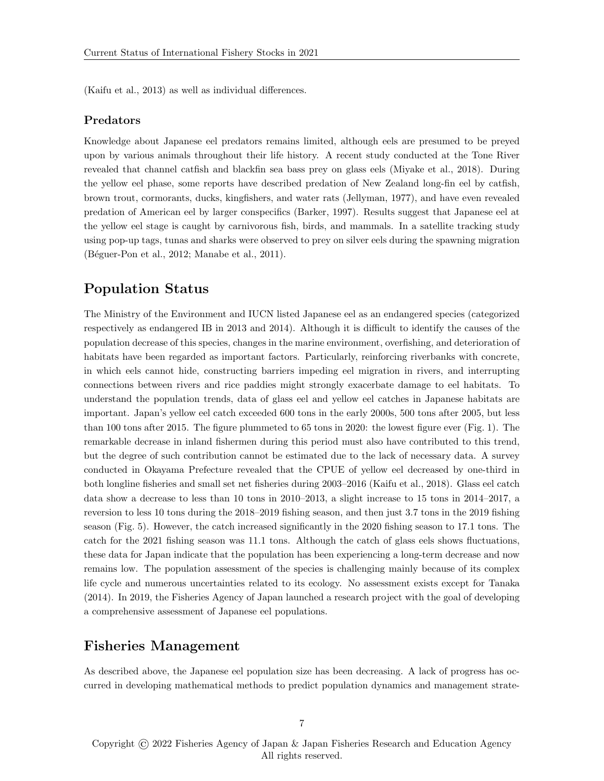[\(Kaifu et al., 2013\)](#page-20-3) as well as individual differences.

#### Predators

Knowledge about Japanese eel predators remains limited, although eels are presumed to be preyed upon by various animals throughout their life history. A recent study conducted at the Tone River revealed that channel catfish and blackfin sea bass prey on glass eels [\(Miyake et al., 2018\)](#page-21-13). During the yellow eel phase, some reports have described predation of New Zealand long-fin eel by catfish, brown trout, cormorants, ducks, kingfishers, and water rats [\(Jellyman, 1977\)](#page-20-11), and have even revealed predation of American eel by larger conspecifics [\(Barker, 1997\)](#page-18-11). Results suggest that Japanese eel at the yellow eel stage is caught by carnivorous fish, birds, and mammals. In a satellite tracking study using pop-up tags, tunas and sharks were observed to prey on silver eels during the spawning migration (Béguer-Pon et al., 2012; [Manabe et al., 2011\)](#page-21-8).

## Population Status

The Ministry of the Environment and IUCN listed Japanese eel as an endangered species (categorized respectively as endangered IB in 2013 and 2014). Although it is difficult to identify the causes of the population decrease of this species, changes in the marine environment, overfishing, and deterioration of habitats have been regarded as important factors. Particularly, reinforcing riverbanks with concrete, in which eels cannot hide, constructing barriers impeding eel migration in rivers, and interrupting connections between rivers and rice paddies might strongly exacerbate damage to eel habitats. To understand the population trends, data of glass eel and yellow eel catches in Japanese habitats are important. Japan's yellow eel catch exceeded 600 tons in the early 2000s, 500 tons after 2005, but less than 100 tons after 2015. The figure plummeted to 65 tons in 2020: the lowest figure ever (Fig. [1\)](#page-9-0). The remarkable decrease in inland fishermen during this period must also have contributed to this trend, but the degree of such contribution cannot be estimated due to the lack of necessary data. A survey conducted in Okayama Prefecture revealed that the CPUE of yellow eel decreased by one-third in both longline fisheries and small set net fisheries during 2003–2016 [\(Kaifu et al., 2018\)](#page-20-12). Glass eel catch data show a decrease to less than 10 tons in 2010–2013, a slight increase to 15 tons in 2014–2017, a reversion to less 10 tons during the 2018–2019 fishing season, and then just 3.7 tons in the 2019 fishing season (Fig. [5\)](#page-13-0). However, the catch increased significantly in the 2020 fishing season to 17.1 tons. The catch for the 2021 fishing season was 11.1 tons. Although the catch of glass eels shows fluctuations, these data for Japan indicate that the population has been experiencing a long-term decrease and now remains low. The population assessment of the species is challenging mainly because of its complex life cycle and numerous uncertainties related to its ecology. No assessment exists except for [Tanaka](#page-22-12) [\(2014\)](#page-22-12). In 2019, the Fisheries Agency of Japan launched a research project with the goal of developing a comprehensive assessment of Japanese eel populations.

### Fisheries Management

As described above, the Japanese eel population size has been decreasing. A lack of progress has occurred in developing mathematical methods to predict population dynamics and management strate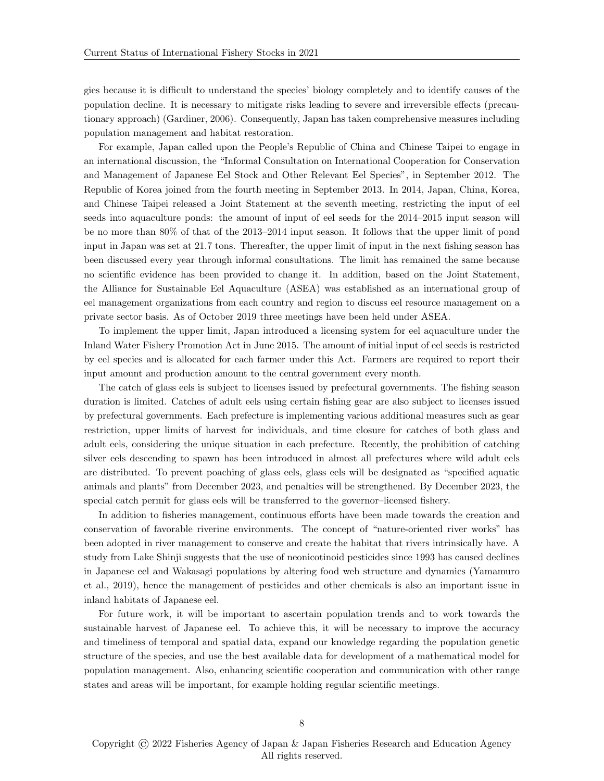gies because it is difficult to understand the species' biology completely and to identify causes of the population decline. It is necessary to mitigate risks leading to severe and irreversible effects (precautionary approach) [\(Gardiner, 2006\)](#page-19-9). Consequently, Japan has taken comprehensive measures including population management and habitat restoration.

For example, Japan called upon the People's Republic of China and Chinese Taipei to engage in an international discussion, the "Informal Consultation on International Cooperation for Conservation and Management of Japanese Eel Stock and Other Relevant Eel Species", in September 2012. The Republic of Korea joined from the fourth meeting in September 2013. In 2014, Japan, China, Korea, and Chinese Taipei released a Joint Statement at the seventh meeting, restricting the input of eel seeds into aquaculture ponds: the amount of input of eel seeds for the 2014–2015 input season will be no more than 80% of that of the 2013–2014 input season. It follows that the upper limit of pond input in Japan was set at 21.7 tons. Thereafter, the upper limit of input in the next fishing season has been discussed every year through informal consultations. The limit has remained the same because no scientific evidence has been provided to change it. In addition, based on the Joint Statement, the Alliance for Sustainable Eel Aquaculture (ASEA) was established as an international group of eel management organizations from each country and region to discuss eel resource management on a private sector basis. As of October 2019 three meetings have been held under ASEA.

To implement the upper limit, Japan introduced a licensing system for eel aquaculture under the Inland Water Fishery Promotion Act in June 2015. The amount of initial input of eel seeds is restricted by eel species and is allocated for each farmer under this Act. Farmers are required to report their input amount and production amount to the central government every month.

The catch of glass eels is subject to licenses issued by prefectural governments. The fishing season duration is limited. Catches of adult eels using certain fishing gear are also subject to licenses issued by prefectural governments. Each prefecture is implementing various additional measures such as gear restriction, upper limits of harvest for individuals, and time closure for catches of both glass and adult eels, considering the unique situation in each prefecture. Recently, the prohibition of catching silver eels descending to spawn has been introduced in almost all prefectures where wild adult eels are distributed. To prevent poaching of glass eels, glass eels will be designated as "specified aquatic animals and plants" from December 2023, and penalties will be strengthened. By December 2023, the special catch permit for glass eels will be transferred to the governor–licensed fishery.

In addition to fisheries management, continuous efforts have been made towards the creation and conservation of favorable riverine environments. The concept of "nature-oriented river works" has been adopted in river management to conserve and create the habitat that rivers intrinsically have. A study from Lake Shinji suggests that the use of neonicotinoid pesticides since 1993 has caused declines in Japanese eel and Wakasagi populations by altering food web structure and dynamics [\(Yamamuro](#page-22-13) [et al., 2019\)](#page-22-13), hence the management of pesticides and other chemicals is also an important issue in inland habitats of Japanese eel.

For future work, it will be important to ascertain population trends and to work towards the sustainable harvest of Japanese eel. To achieve this, it will be necessary to improve the accuracy and timeliness of temporal and spatial data, expand our knowledge regarding the population genetic structure of the species, and use the best available data for development of a mathematical model for population management. Also, enhancing scientific cooperation and communication with other range states and areas will be important, for example holding regular scientific meetings.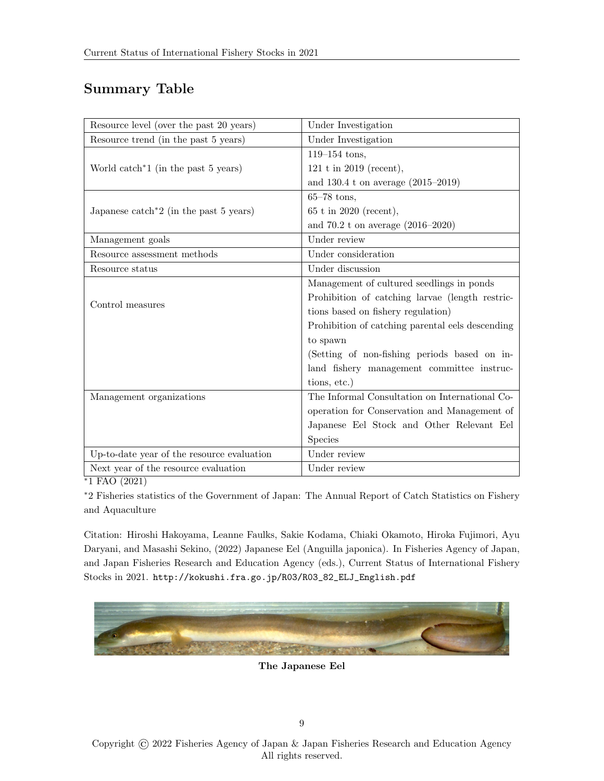# Summary Table

| Resource level (over the past 20 years)         | Under Investigation                              |
|-------------------------------------------------|--------------------------------------------------|
| Resource trend (in the past 5 years)            | Under Investigation                              |
|                                                 | $119 - 154$ tons,                                |
| World catch <sup>*1</sup> (in the past 5 years) | 121 t in 2019 (recent),                          |
|                                                 | and $130.4$ t on average $(2015-2019)$           |
|                                                 | $65-78$ tons,                                    |
| Japanese catch*2 (in the past 5 years)          | $65$ t in 2020 (recent),                         |
|                                                 | and 70.2 t on average $(2016-2020)$              |
| Management goals                                | Under review                                     |
| Resource assessment methods                     | Under consideration                              |
| Resource status                                 | Under discussion                                 |
| Control measures                                | Management of cultured seedlings in ponds        |
|                                                 | Prohibition of catching larvae (length restric-  |
|                                                 | tions based on fishery regulation)               |
|                                                 | Prohibition of catching parental eels descending |
|                                                 | to spawn                                         |
|                                                 | (Setting of non-fishing periods based on in-     |
|                                                 | land fishery management committee instruc-       |
|                                                 | tions, etc.)                                     |
| Management organizations                        | The Informal Consultation on International Co-   |
|                                                 | operation for Conservation and Management of     |
|                                                 | Japanese Eel Stock and Other Relevant Eel        |
|                                                 | <b>Species</b>                                   |
| Up-to-date year of the resource evaluation      | Under review                                     |
| Next year of the resource evaluation            | Under review                                     |

<sup>∗</sup>1 [FAO](#page-19-10) [\(2021\)](#page-19-10)

<sup>∗</sup>2 Fisheries statistics of the Government of Japan: The Annual Report of Catch Statistics on Fishery and Aquaculture

Citation: Hiroshi Hakoyama, Leanne Faulks, Sakie Kodama, Chiaki Okamoto, Hiroka Fujimori, Ayu Daryani, and Masashi Sekino, (2022) Japanese Eel (Anguilla japonica). In Fisheries Agency of Japan, and Japan Fisheries Research and Education Agency (eds.), Current Status of International Fishery Stocks in 2021. [http://kokushi.fra.go.jp/R03/R03\\_82\\_ELJ\\_English.pdf](http://kokushi.fra.go.jp/R03/R03_82_ELJ_English.pdf)



The Japanese Eel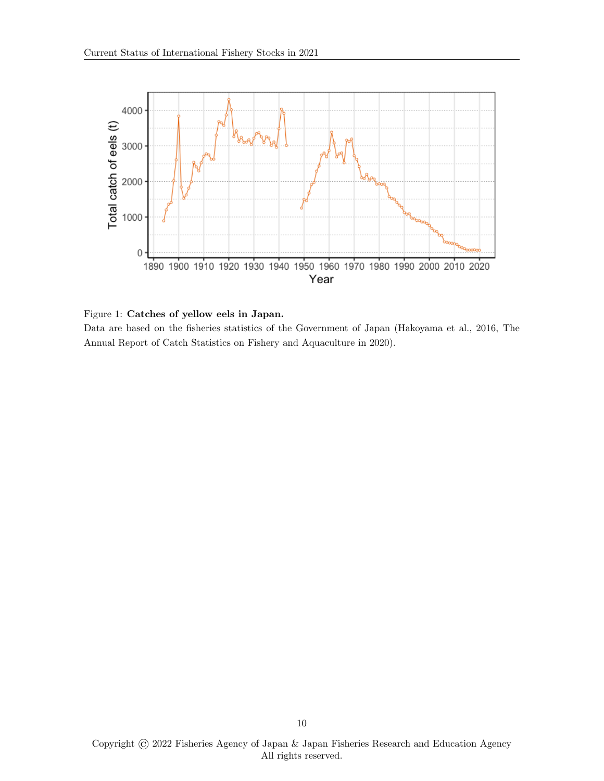

<span id="page-9-0"></span>Figure 1: Catches of yellow eels in Japan.

Data are based on the fisheries statistics of the Government of Japan [\(Hakoyama et al., 2016,](#page-19-0) The Annual Report of Catch Statistics on Fishery and Aquaculture in 2020).

Copyright © 2022 Fisheries Agency of Japan & Japan Fisheries Research and Education Agency All rights reserved.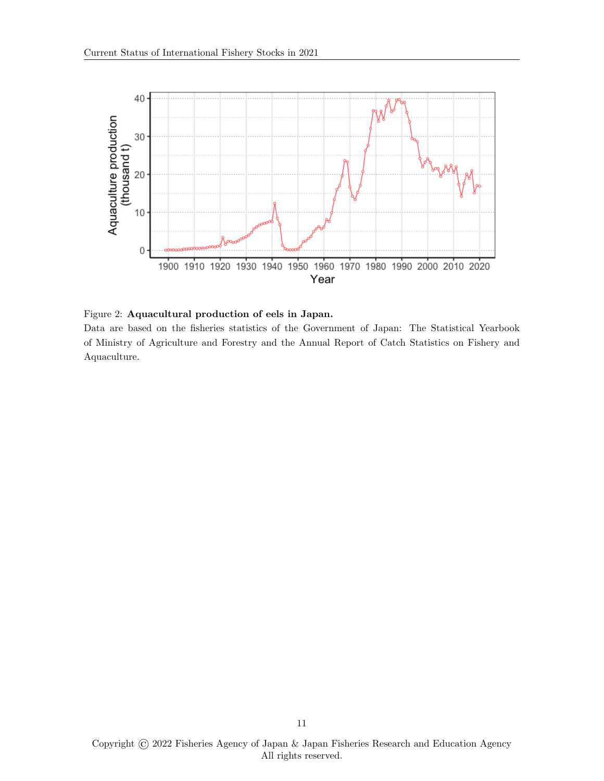

<span id="page-10-0"></span>Figure 2: Aquacultural production of eels in Japan.

Data are based on the fisheries statistics of the Government of Japan: The Statistical Yearbook of Ministry of Agriculture and Forestry and the Annual Report of Catch Statistics on Fishery and Aquaculture.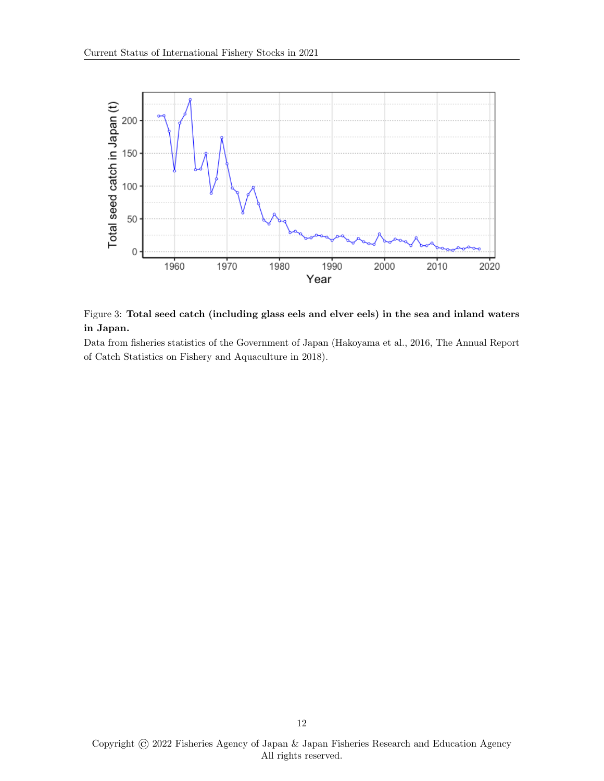

<span id="page-11-0"></span>Figure 3: Total seed catch (including glass eels and elver eels) in the sea and inland waters in Japan.

Data from fisheries statistics of the Government of Japan [\(Hakoyama et al., 2016,](#page-19-0) The Annual Report of Catch Statistics on Fishery and Aquaculture in 2018).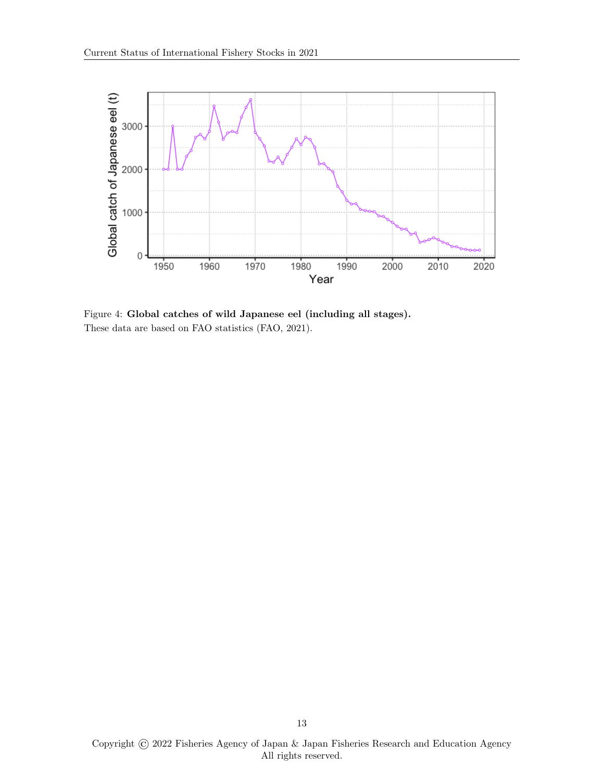

<span id="page-12-0"></span>Figure 4: Global catches of wild Japanese eel (including all stages). These data are based on FAO statistics [\(FAO, 2021\)](#page-19-10).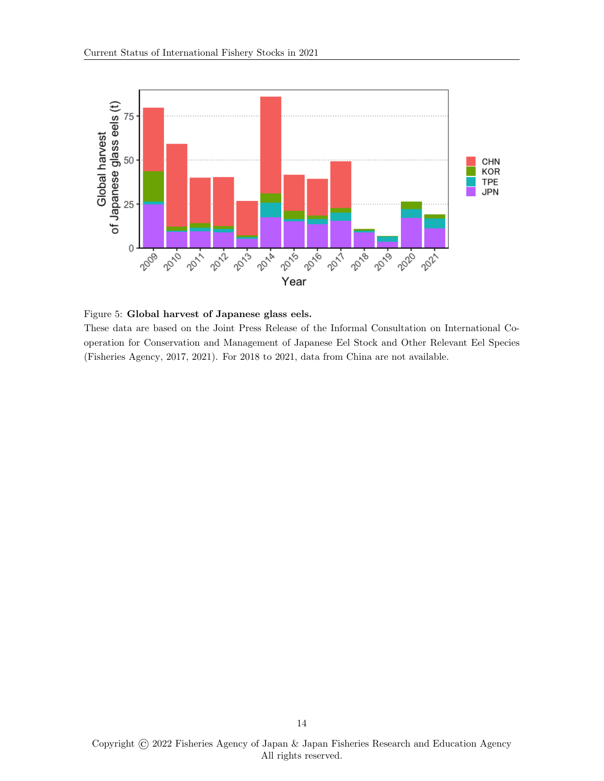

<span id="page-13-0"></span>Figure 5: Global harvest of Japanese glass eels.

These data are based on the Joint Press Release of the Informal Consultation on International Cooperation for Conservation and Management of Japanese Eel Stock and Other Relevant Eel Species [\(Fisheries Agency, 2017,](#page-19-11) [2021\)](#page-19-12). For 2018 to 2021, data from China are not available.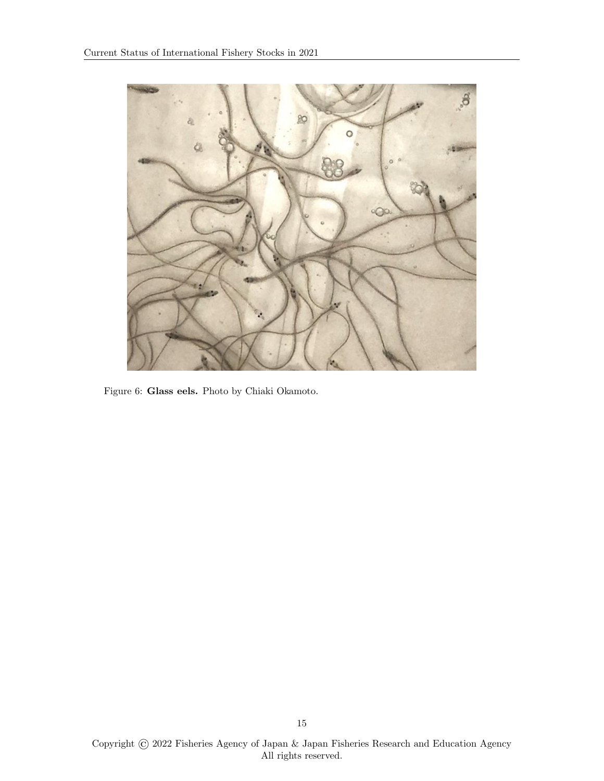<span id="page-14-0"></span>

Figure 6: Glass eels. Photo by Chiaki Okamoto.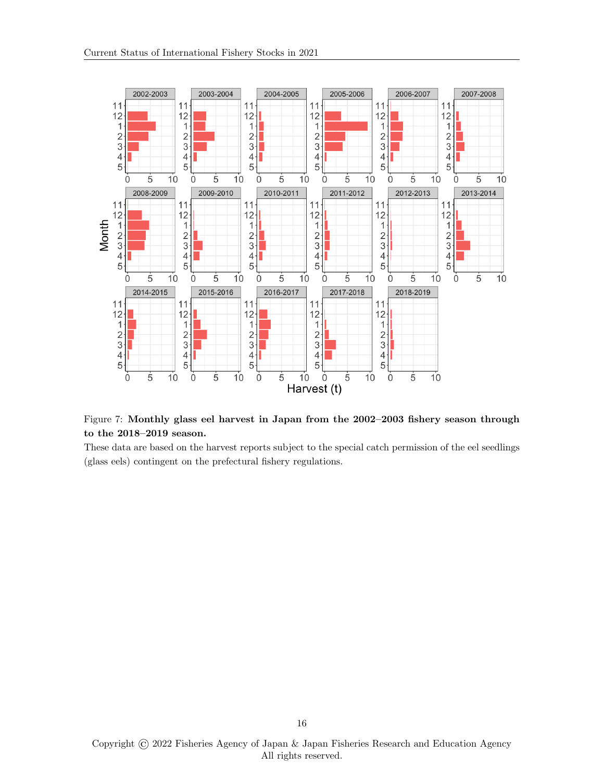

<span id="page-15-0"></span>Figure 7: Monthly glass eel harvest in Japan from the 2002–2003 fishery season through to the 2018–2019 season.

These data are based on the harvest reports subject to the special catch permission of the eel seedlings (glass eels) contingent on the prefectural fishery regulations.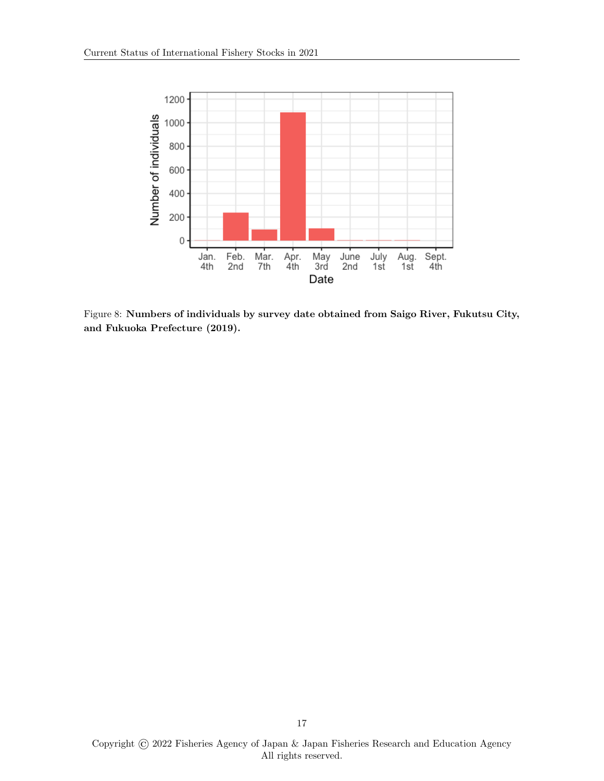

<span id="page-16-0"></span>Figure 8: Numbers of individuals by survey date obtained from Saigo River, Fukutsu City, and Fukuoka Prefecture (2019).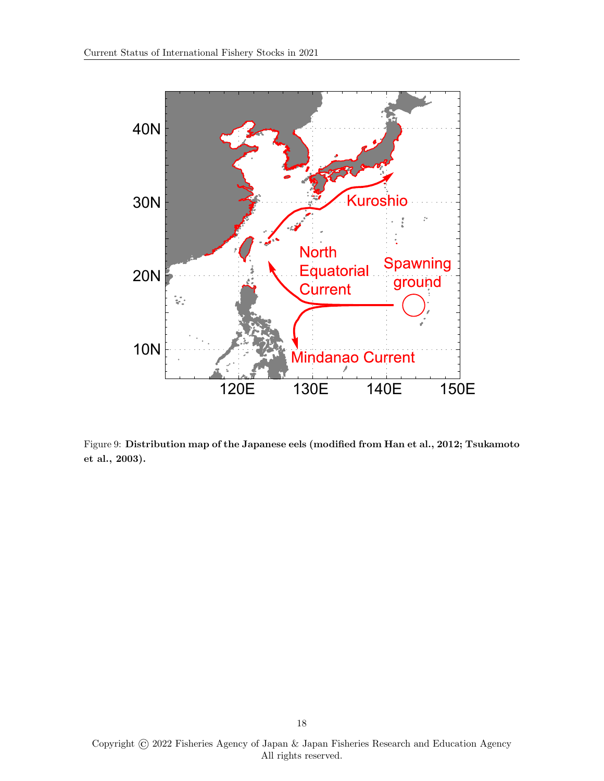

<span id="page-17-0"></span>Figure 9: Distribution map of the Japanese eels (modified from [Han et al., 2012;](#page-19-6) [Tsukamoto](#page-22-3) [et al., 2003\)](#page-22-3).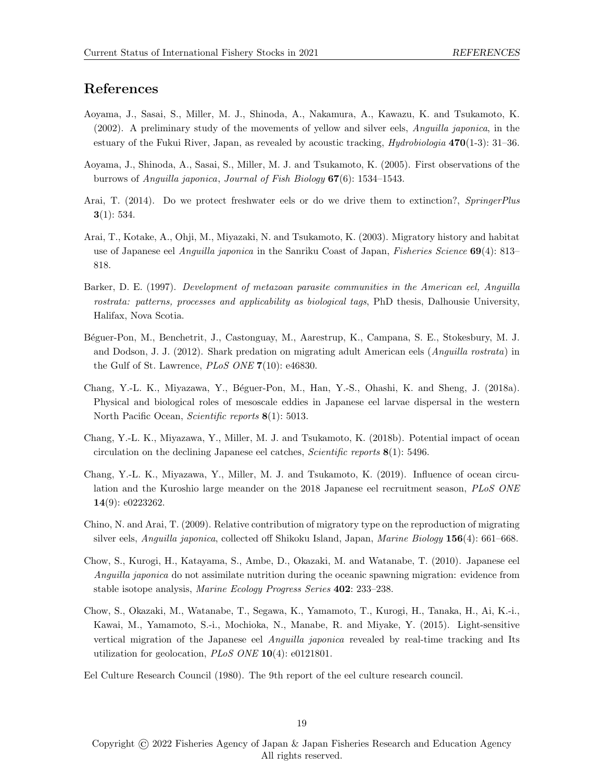### References

- <span id="page-18-4"></span>Aoyama, J., Sasai, S., Miller, M. J., Shinoda, A., Nakamura, A., Kawazu, K. and Tsukamoto, K. (2002). A preliminary study of the movements of yellow and silver eels, Anguilla japonica, in the estuary of the Fukui River, Japan, as revealed by acoustic tracking,  $Hydrobiologia 470(1-3): 31-36$ .
- <span id="page-18-3"></span>Aoyama, J., Shinoda, A., Sasai, S., Miller, M. J. and Tsukamoto, K. (2005). First observations of the burrows of Anguilla japonica, Journal of Fish Biology 67(6): 1534–1543.
- <span id="page-18-5"></span>Arai, T. (2014). Do we protect freshwater eels or do we drive them to extinction?, SpringerPlus  $3(1): 534.$
- <span id="page-18-2"></span>Arai, T., Kotake, A., Ohji, M., Miyazaki, N. and Tsukamoto, K. (2003). Migratory history and habitat use of Japanese eel Anguilla japonica in the Sanriku Coast of Japan, Fisheries Science 69(4): 813– 818.
- <span id="page-18-11"></span>Barker, D. E. (1997). Development of metazoan parasite communities in the American eel, Anguilla rostrata: patterns, processes and applicability as biological tags, PhD thesis, Dalhousie University, Halifax, Nova Scotia.
- <span id="page-18-12"></span>B´eguer-Pon, M., Benchetrit, J., Castonguay, M., Aarestrup, K., Campana, S. E., Stokesbury, M. J. and Dodson, J. J. (2012). Shark predation on migrating adult American eels (Anguilla rostrata) in the Gulf of St. Lawrence, PLoS ONE 7(10): e46830.
- <span id="page-18-9"></span>Chang, Y.-L. K., Miyazawa, Y., B´eguer-Pon, M., Han, Y.-S., Ohashi, K. and Sheng, J. (2018a). Physical and biological roles of mesoscale eddies in Japanese eel larvae dispersal in the western North Pacific Ocean, Scientific reports 8(1): 5013.
- <span id="page-18-8"></span>Chang, Y.-L. K., Miyazawa, Y., Miller, M. J. and Tsukamoto, K. (2018b). Potential impact of ocean circulation on the declining Japanese eel catches, *Scientific reports*  $8(1)$ : 5496.
- <span id="page-18-10"></span>Chang, Y.-L. K., Miyazawa, Y., Miller, M. J. and Tsukamoto, K. (2019). Influence of ocean circulation and the Kuroshio large meander on the 2018 Japanese eel recruitment season, PLoS ONE 14(9): e0223262.
- <span id="page-18-1"></span>Chino, N. and Arai, T. (2009). Relative contribution of migratory type on the reproduction of migrating silver eels, Anguilla japonica, collected off Shikoku Island, Japan, Marine Biology 156(4): 661–668.
- <span id="page-18-7"></span>Chow, S., Kurogi, H., Katayama, S., Ambe, D., Okazaki, M. and Watanabe, T. (2010). Japanese eel Anguilla japonica do not assimilate nutrition during the oceanic spawning migration: evidence from stable isotope analysis, Marine Ecology Progress Series 402: 233–238.
- <span id="page-18-6"></span>Chow, S., Okazaki, M., Watanabe, T., Segawa, K., Yamamoto, T., Kurogi, H., Tanaka, H., Ai, K.-i., Kawai, M., Yamamoto, S.-i., Mochioka, N., Manabe, R. and Miyake, Y. (2015). Light-sensitive vertical migration of the Japanese eel Anguilla japonica revealed by real-time tracking and Its utilization for geolocation, PLoS ONE 10(4): e0121801.
- <span id="page-18-0"></span>Eel Culture Research Council (1980). The 9th report of the eel culture research council.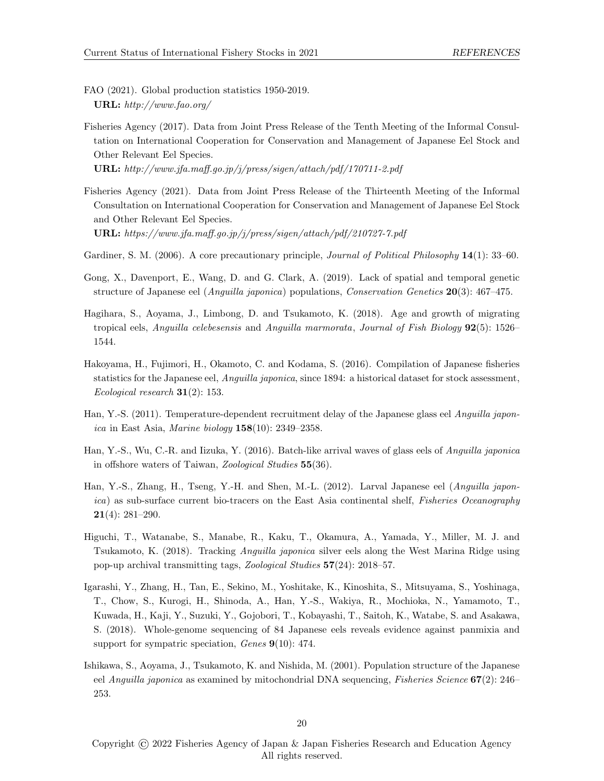<span id="page-19-10"></span>FAO (2021). Global production statistics 1950-2019. URL: http://www.fao.org/

<span id="page-19-11"></span>Fisheries Agency (2017). Data from Joint Press Release of the Tenth Meeting of the Informal Consultation on International Cooperation for Conservation and Management of Japanese Eel Stock and Other Relevant Eel Species.

URL: http://www.jfa.maff.go.jp/j/press/sigen/attach/pdf/170711-2.pdf

<span id="page-19-12"></span>Fisheries Agency (2021). Data from Joint Press Release of the Thirteenth Meeting of the Informal Consultation on International Cooperation for Conservation and Management of Japanese Eel Stock and Other Relevant Eel Species. URL: https://www.jfa.maff.go.jp/j/press/sigen/attach/pdf/210727-7.pdf

<span id="page-19-9"></span>Gardiner, S. M. (2006). A core precautionary principle, *Journal of Political Philosophy* 14(1): 33–60.

- <span id="page-19-4"></span>Gong, X., Davenport, E., Wang, D. and G. Clark, A. (2019). Lack of spatial and temporal genetic structure of Japanese eel (*Anguilla japonica*) populations, Conservation Genetics **20**(3): 467–475.
- <span id="page-19-5"></span>Hagihara, S., Aoyama, J., Limbong, D. and Tsukamoto, K. (2018). Age and growth of migrating tropical eels, Anguilla celebesensis and Anguilla marmorata, Journal of Fish Biology  $92(5)$ : 1526– 1544.
- <span id="page-19-0"></span>Hakoyama, H., Fujimori, H., Okamoto, C. and Kodama, S. (2016). Compilation of Japanese fisheries statistics for the Japanese eel, Anguilla japonica, since 1894: a historical dataset for stock assessment, Ecological research  $31(2)$ : 153.
- <span id="page-19-1"></span>Han, Y.-S. (2011). Temperature-dependent recruitment delay of the Japanese glass eel Anguilla japonica in East Asia, Marine biology  $158(10)$ : 2349–2358.
- <span id="page-19-8"></span>Han, Y.-S., Wu, C.-R. and Iizuka, Y. (2016). Batch-like arrival waves of glass eels of Anguilla japonica in offshore waters of Taiwan, Zoological Studies 55(36).
- <span id="page-19-6"></span>Han, Y.-S., Zhang, H., Tseng, Y.-H. and Shen, M.-L. (2012). Larval Japanese eel (Anguilla japonica) as sub-surface current bio-tracers on the East Asia continental shelf, Fisheries Oceanography 21(4): 281–290.
- <span id="page-19-7"></span>Higuchi, T., Watanabe, S., Manabe, R., Kaku, T., Okamura, A., Yamada, Y., Miller, M. J. and Tsukamoto, K. (2018). Tracking Anguilla japonica silver eels along the West Marina Ridge using pop-up archival transmitting tags, Zoological Studies 57(24): 2018–57.
- <span id="page-19-3"></span>Igarashi, Y., Zhang, H., Tan, E., Sekino, M., Yoshitake, K., Kinoshita, S., Mitsuyama, S., Yoshinaga, T., Chow, S., Kurogi, H., Shinoda, A., Han, Y.-S., Wakiya, R., Mochioka, N., Yamamoto, T., Kuwada, H., Kaji, Y., Suzuki, Y., Gojobori, T., Kobayashi, T., Saitoh, K., Watabe, S. and Asakawa, S. (2018). Whole-genome sequencing of 84 Japanese eels reveals evidence against panmixia and support for sympatric speciation, Genes 9(10): 474.
- <span id="page-19-2"></span>Ishikawa, S., Aoyama, J., Tsukamoto, K. and Nishida, M. (2001). Population structure of the Japanese eel Anguilla japonica as examined by mitochondrial DNA sequencing, *Fisheries Science* 67(2): 246– 253.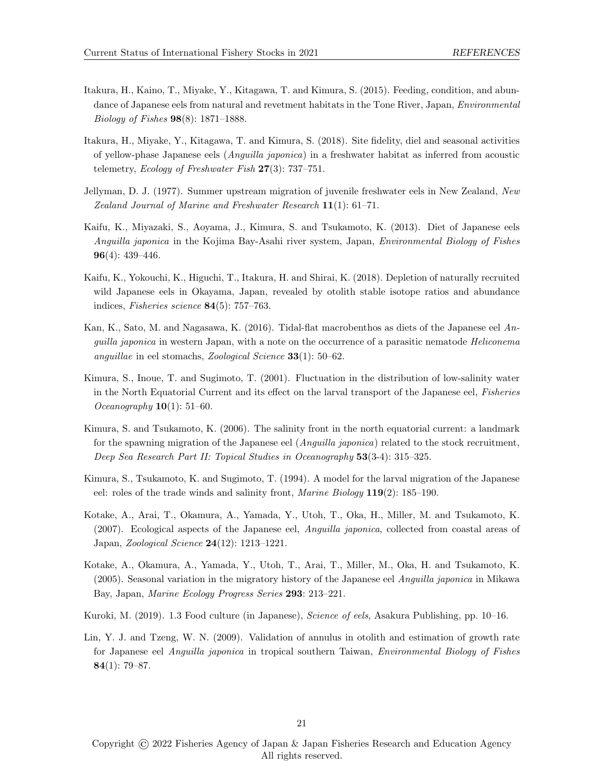- <span id="page-20-9"></span>Itakura, H., Kaino, T., Miyake, Y., Kitagawa, T. and Kimura, S. (2015). Feeding, condition, and abundance of Japanese eels from natural and revetment habitats in the Tone River, Japan, *Environmental* Biology of Fishes 98(8): 1871–1888.
- <span id="page-20-5"></span>Itakura, H., Miyake, Y., Kitagawa, T. and Kimura, S. (2018). Site fidelity, diel and seasonal activities of yellow-phase Japanese eels (Anguilla japonica) in a freshwater habitat as inferred from acoustic telemetry, *Ecology of Freshwater Fish*  $27(3)$ : 737–751.
- <span id="page-20-11"></span>Jellyman, D. J. (1977). Summer upstream migration of juvenile freshwater eels in New Zealand, New Zealand Journal of Marine and Freshwater Research  $11(1)$ : 61–71.
- <span id="page-20-3"></span>Kaifu, K., Miyazaki, S., Aoyama, J., Kimura, S. and Tsukamoto, K. (2013). Diet of Japanese eels Anguilla japonica in the Kojima Bay-Asahi river system, Japan, Environmental Biology of Fishes 96(4): 439–446.
- <span id="page-20-12"></span>Kaifu, K., Yokouchi, K., Higuchi, T., Itakura, H. and Shirai, K. (2018). Depletion of naturally recruited wild Japanese eels in Okayama, Japan, revealed by otolith stable isotope ratios and abundance indices, Fisheries science 84(5): 757-763.
- <span id="page-20-10"></span>Kan, K., Sato, M. and Nagasawa, K. (2016). Tidal-flat macrobenthos as diets of the Japanese eel  $An$ guilla japonica in western Japan, with a note on the occurrence of a parasitic nematode Heliconema anguillae in eel stomachs, Zoological Science 33(1): 50–62.
- <span id="page-20-7"></span>Kimura, S., Inoue, T. and Sugimoto, T. (2001). Fluctuation in the distribution of low-salinity water in the North Equatorial Current and its effect on the larval transport of the Japanese eel, Fisheries Oceanography  $10(1)$ : 51–60.
- <span id="page-20-8"></span>Kimura, S. and Tsukamoto, K. (2006). The salinity front in the north equatorial current: a landmark for the spawning migration of the Japanese eel (*Anguilla japonica*) related to the stock recruitment, Deep Sea Research Part II: Topical Studies in Oceanography 53(3-4): 315–325.
- <span id="page-20-6"></span>Kimura, S., Tsukamoto, K. and Sugimoto, T. (1994). A model for the larval migration of the Japanese eel: roles of the trade winds and salinity front, Marine Biology 119(2): 185–190.
- <span id="page-20-1"></span>Kotake, A., Arai, T., Okamura, A., Yamada, Y., Utoh, T., Oka, H., Miller, M. and Tsukamoto, K. (2007). Ecological aspects of the Japanese eel, Anguilla japonica, collected from coastal areas of Japan, Zoological Science 24(12): 1213–1221.
- <span id="page-20-4"></span>Kotake, A., Okamura, A., Yamada, Y., Utoh, T., Arai, T., Miller, M., Oka, H. and Tsukamoto, K. (2005). Seasonal variation in the migratory history of the Japanese eel Anguilla japonica in Mikawa Bay, Japan, Marine Ecology Progress Series 293: 213–221.
- <span id="page-20-0"></span>Kuroki, M. (2019). 1.3 Food culture (in Japanese), *Science of eels*, Asakura Publishing, pp. 10–16.
- <span id="page-20-2"></span>Lin, Y. J. and Tzeng, W. N. (2009). Validation of annulus in otolith and estimation of growth rate for Japanese eel Anguilla japonica in tropical southern Taiwan, Environmental Biology of Fishes 84 $(1)$ : 79–87.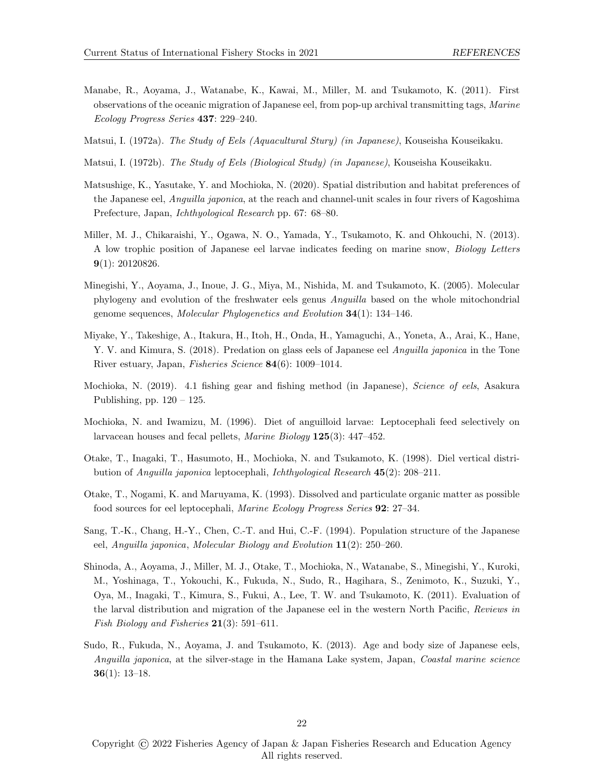- <span id="page-21-8"></span>Manabe, R., Aoyama, J., Watanabe, K., Kawai, M., Miller, M. and Tsukamoto, K. (2011). First observations of the oceanic migration of Japanese eel, from pop-up archival transmitting tags, Marine Ecology Progress Series 437: 229–240.
- <span id="page-21-1"></span>Matsui, I. (1972a). The Study of Eels (Aquacultural Stury) (in Japanese), Kouseisha Kouseikaku.
- <span id="page-21-3"></span>Matsui, I. (1972b). The Study of Eels (Biological Study) (in Japanese), Kouseisha Kouseikaku.
- <span id="page-21-7"></span>Matsushige, K., Yasutake, Y. and Mochioka, N. (2020). Spatial distribution and habitat preferences of the Japanese eel, Anguilla japonica, at the reach and channel-unit scales in four rivers of Kagoshima Prefecture, Japan, Ichthyological Research pp. 67: 68–80.
- <span id="page-21-10"></span>Miller, M. J., Chikaraishi, Y., Ogawa, N. O., Yamada, Y., Tsukamoto, K. and Ohkouchi, N. (2013). A low trophic position of Japanese eel larvae indicates feeding on marine snow, Biology Letters 9(1): 20120826.
- <span id="page-21-5"></span>Minegishi, Y., Aoyama, J., Inoue, J. G., Miya, M., Nishida, M. and Tsukamoto, K. (2005). Molecular phylogeny and evolution of the freshwater eels genus Anguilla based on the whole mitochondrial genome sequences, Molecular Phylogenetics and Evolution 34(1): 134–146.
- <span id="page-21-13"></span>Miyake, Y., Takeshige, A., Itakura, H., Itoh, H., Onda, H., Yamaguchi, A., Yoneta, A., Arai, K., Hane, Y. V. and Kimura, S. (2018). Predation on glass eels of Japanese eel Anguilla japonica in the Tone River estuary, Japan, Fisheries Science 84(6): 1009–1014.
- <span id="page-21-0"></span>Mochioka, N. (2019). 4.1 fishing gear and fishing method (in Japanese), Science of eels, Asakura Publishing, pp.  $120 - 125$ .
- <span id="page-21-11"></span>Mochioka, N. and Iwamizu, M. (1996). Diet of anguilloid larvae: Leptocephali feed selectively on larvacean houses and fecal pellets, Marine Biology 125(3): 447–452.
- <span id="page-21-9"></span>Otake, T., Inagaki, T., Hasumoto, H., Mochioka, N. and Tsukamoto, K. (1998). Diel vertical distribution of Anguilla japonica leptocephali, Ichthyological Research 45(2): 208–211.
- <span id="page-21-12"></span>Otake, T., Nogami, K. and Maruyama, K. (1993). Dissolved and particulate organic matter as possible food sources for eel leptocephali, Marine Ecology Progress Series 92: 27–34.
- <span id="page-21-4"></span>Sang, T.-K., Chang, H.-Y., Chen, C.-T. and Hui, C.-F. (1994). Population structure of the Japanese eel, Anguilla japonica, Molecular Biology and Evolution 11(2): 250–260.
- <span id="page-21-2"></span>Shinoda, A., Aoyama, J., Miller, M. J., Otake, T., Mochioka, N., Watanabe, S., Minegishi, Y., Kuroki, M., Yoshinaga, T., Yokouchi, K., Fukuda, N., Sudo, R., Hagihara, S., Zenimoto, K., Suzuki, Y., Oya, M., Inagaki, T., Kimura, S., Fukui, A., Lee, T. W. and Tsukamoto, K. (2011). Evaluation of the larval distribution and migration of the Japanese eel in the western North Pacific, Reviews in Fish Biology and Fisheries  $21(3)$ : 591–611.
- <span id="page-21-6"></span>Sudo, R., Fukuda, N., Aoyama, J. and Tsukamoto, K. (2013). Age and body size of Japanese eels, Anguilla japonica, at the silver-stage in the Hamana Lake system, Japan, Coastal marine science  $36(1): 13-18.$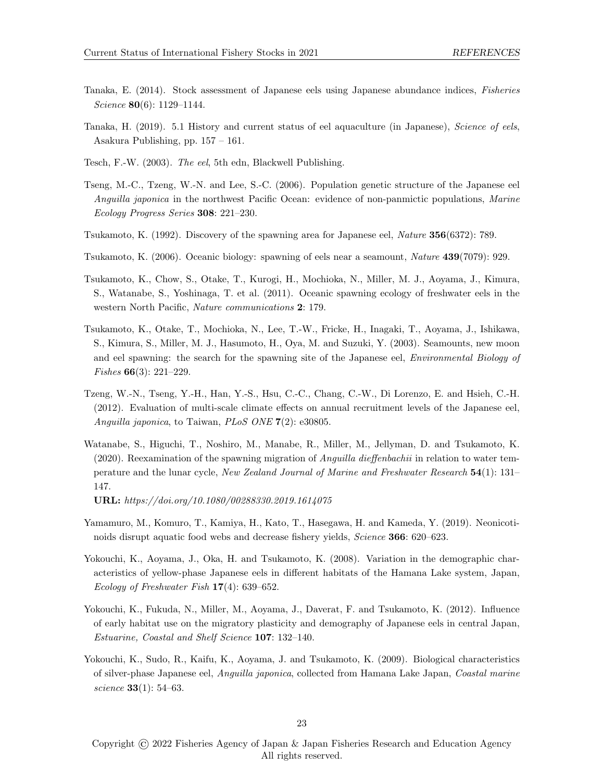- <span id="page-22-12"></span>Tanaka, E. (2014). Stock assessment of Japanese eels using Japanese abundance indices, Fisheries Science **80**(6): 1129-1144.
- <span id="page-22-0"></span>Tanaka, H. (2019). 5.1 History and current status of eel aquaculture (in Japanese), Science of eels, Asakura Publishing, pp. 157 – 161.
- <span id="page-22-8"></span>Tesch, F.-W. (2003). The eel, 5th edn, Blackwell Publishing.
- <span id="page-22-4"></span>Tseng, M.-C., Tzeng, W.-N. and Lee, S.-C. (2006). Population genetic structure of the Japanese eel Anguilla japonica in the northwest Pacific Ocean: evidence of non-panmictic populations, Marine Ecology Progress Series 308: 221–230.
- <span id="page-22-1"></span>Tsukamoto, K. (1992). Discovery of the spawning area for Japanese eel, Nature 356(6372): 789.
- <span id="page-22-9"></span>Tsukamoto, K. (2006). Oceanic biology: spawning of eels near a seamount, Nature 439(7079): 929.
- <span id="page-22-2"></span>Tsukamoto, K., Chow, S., Otake, T., Kurogi, H., Mochioka, N., Miller, M. J., Aoyama, J., Kimura, S., Watanabe, S., Yoshinaga, T. et al. (2011). Oceanic spawning ecology of freshwater eels in the western North Pacific, Nature communications 2: 179.
- <span id="page-22-3"></span>Tsukamoto, K., Otake, T., Mochioka, N., Lee, T.-W., Fricke, H., Inagaki, T., Aoyama, J., Ishikawa, S., Kimura, S., Miller, M. J., Hasumoto, H., Oya, M. and Suzuki, Y. (2003). Seamounts, new moon and eel spawning: the search for the spawning site of the Japanese eel, *Environmental Biology of* Fishes 66(3): 221–229.
- <span id="page-22-11"></span>Tzeng, W.-N., Tseng, Y.-H., Han, Y.-S., Hsu, C.-C., Chang, C.-W., Di Lorenzo, E. and Hsieh, C.-H. (2012). Evaluation of multi-scale climate effects on annual recruitment levels of the Japanese eel, Anguilla japonica, to Taiwan, PLoS ONE 7(2): e30805.
- <span id="page-22-10"></span>Watanabe, S., Higuchi, T., Noshiro, M., Manabe, R., Miller, M., Jellyman, D. and Tsukamoto, K.  $(2020)$ . Reexamination of the spawning migration of *Anguilla dieffenbachii* in relation to water temperature and the lunar cycle, New Zealand Journal of Marine and Freshwater Research 54(1): 131– 147.

URL: https://doi.org/10.1080/00288330.2019.1614075

- <span id="page-22-13"></span>Yamamuro, M., Komuro, T., Kamiya, H., Kato, T., Hasegawa, H. and Kameda, Y. (2019). Neonicotinoids disrupt aquatic food webs and decrease fishery yields, Science 366: 620–623.
- <span id="page-22-5"></span>Yokouchi, K., Aoyama, J., Oka, H. and Tsukamoto, K. (2008). Variation in the demographic characteristics of yellow-phase Japanese eels in different habitats of the Hamana Lake system, Japan, Ecology of Freshwater Fish 17(4): 639–652.
- <span id="page-22-6"></span>Yokouchi, K., Fukuda, N., Miller, M., Aoyama, J., Daverat, F. and Tsukamoto, K. (2012). Influence of early habitat use on the migratory plasticity and demography of Japanese eels in central Japan, Estuarine, Coastal and Shelf Science 107: 132–140.
- <span id="page-22-7"></span>Yokouchi, K., Sudo, R., Kaifu, K., Aoyama, J. and Tsukamoto, K. (2009). Biological characteristics of silver-phase Japanese eel, Anguilla japonica, collected from Hamana Lake Japan, Coastal marine science 33(1): 54–63.